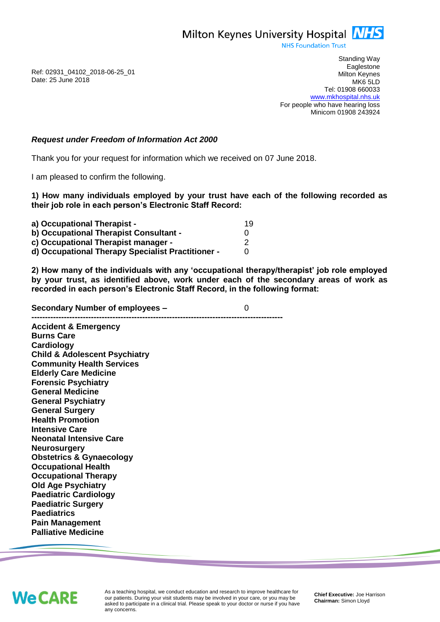Milton Keynes University Hospital **NHS** 

**NHS Foundation Trust** 

Ref: 02931\_04102\_2018-06-25\_01 Date: 25 June 2018

Standing Way **Eaglestone** Milton Keynes MK6 5LD Tel: 01908 660033 [www.mkhospital.nhs.uk](http://www.mkhospital.nhs.uk/) For people who have hearing loss Minicom 01908 243924

## *Request under Freedom of Information Act 2000*

Thank you for your request for information which we received on 07 June 2018.

I am pleased to confirm the following.

**1) How many individuals employed by your trust have each of the following recorded as their job role in each person's Electronic Staff Record:**

| a) Occupational Therapist -<br>b) Occupational Therapist Consultant -<br>c) Occupational Therapist manager -<br>d) Occupational Therapy Specialist Practitioner - | 19 |
|-------------------------------------------------------------------------------------------------------------------------------------------------------------------|----|
|-------------------------------------------------------------------------------------------------------------------------------------------------------------------|----|

**2) How many of the individuals with any 'occupational therapy/therapist' job role employed by your trust, as identified above, work under each of the secondary areas of work as recorded in each person's Electronic Staff Record, in the following format:**

**Secondary Number of employees –** 0 **---------------------------------------------------------------------------------------------**

**Accident & Emergency Burns Care Cardiology Child & Adolescent Psychiatry Community Health Services Elderly Care Medicine Forensic Psychiatry General Medicine General Psychiatry General Surgery Health Promotion Intensive Care Neonatal Intensive Care Neurosurgery Obstetrics & Gynaecology Occupational Health Occupational Therapy Old Age Psychiatry Paediatric Cardiology Paediatric Surgery Paediatrics Pain Management Palliative Medicine**